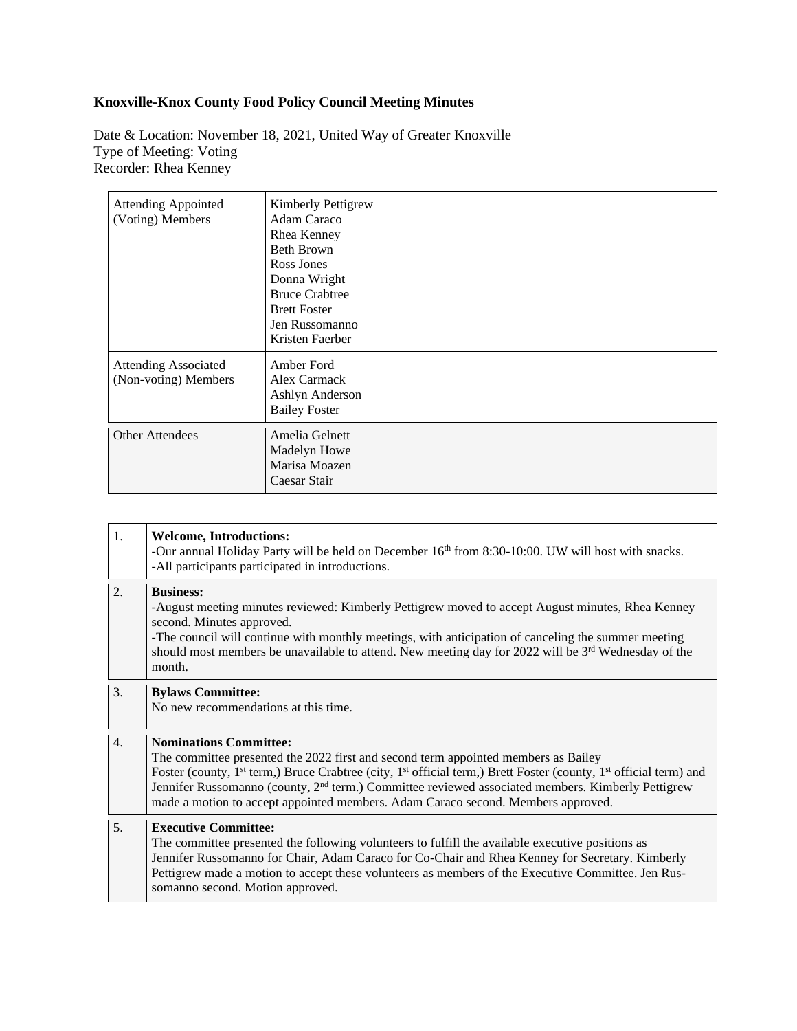## **Knoxville-Knox County Food Policy Council Meeting Minutes**

Date & Location: November 18, 2021, United Way of Greater Knoxville Type of Meeting: Voting Recorder: Rhea Kenney

| <b>Attending Appointed</b><br>(Voting) Members      | Kimberly Pettigrew<br>Adam Caraco<br>Rhea Kenney<br><b>Beth Brown</b><br>Ross Jones<br>Donna Wright<br><b>Bruce Crabtree</b><br><b>Brett Foster</b><br>Jen Russomanno<br>Kristen Faerber |
|-----------------------------------------------------|------------------------------------------------------------------------------------------------------------------------------------------------------------------------------------------|
| <b>Attending Associated</b><br>(Non-voting) Members | Amber Ford<br>Alex Carmack<br>Ashlyn Anderson<br><b>Bailey Foster</b>                                                                                                                    |
| <b>Other Attendees</b>                              | Amelia Gelnett<br>Madelyn Howe<br>Marisa Moazen<br>Caesar Stair                                                                                                                          |

| 1. | <b>Welcome, Introductions:</b><br>-Our annual Holiday Party will be held on December 16 <sup>th</sup> from 8:30-10:00. UW will host with snacks.<br>-All participants participated in introductions.                                                                                                                                                                                                                                                                              |
|----|-----------------------------------------------------------------------------------------------------------------------------------------------------------------------------------------------------------------------------------------------------------------------------------------------------------------------------------------------------------------------------------------------------------------------------------------------------------------------------------|
| 2. | <b>Business:</b><br>-August meeting minutes reviewed: Kimberly Pettigrew moved to accept August minutes, Rhea Kenney<br>second. Minutes approved.<br>-The council will continue with monthly meetings, with anticipation of canceling the summer meeting<br>should most members be unavailable to attend. New meeting day for 2022 will be 3 <sup>rd</sup> Wednesday of the<br>month.                                                                                             |
| 3. | <b>Bylaws Committee:</b><br>No new recommendations at this time.                                                                                                                                                                                                                                                                                                                                                                                                                  |
| 4. | <b>Nominations Committee:</b><br>The committee presented the 2022 first and second term appointed members as Bailey<br>Foster (county, 1 <sup>st</sup> term,) Bruce Crabtree (city, 1 <sup>st</sup> official term,) Brett Foster (county, 1 <sup>st</sup> official term) and<br>Jennifer Russomanno (county, 2 <sup>nd</sup> term.) Committee reviewed associated members. Kimberly Pettigrew<br>made a motion to accept appointed members. Adam Caraco second. Members approved. |
| 5. | <b>Executive Committee:</b><br>The committee presented the following volunteers to fulfill the available executive positions as<br>Jennifer Russomanno for Chair, Adam Caraco for Co-Chair and Rhea Kenney for Secretary. Kimberly<br>Pettigrew made a motion to accept these volunteers as members of the Executive Committee. Jen Rus-<br>somanno second. Motion approved.                                                                                                      |